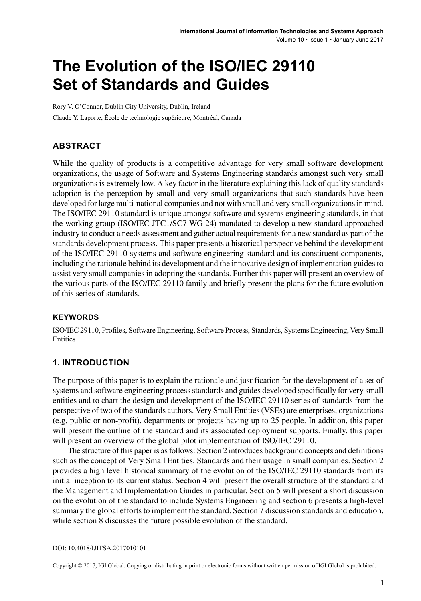# **The Evolution of the ISO/IEC 29110 Set of Standards and Guides**

Rory V. O'Connor, Dublin City University, Dublin, Ireland Claude Y. Laporte, École de technologie supérieure, Montréal, Canada

# **ABSTRACT**

While the quality of products is a competitive advantage for very small software development organizations, the usage of Software and Systems Engineering standards amongst such very small organizations is extremely low. A key factor in the literature explaining this lack of quality standards adoption is the perception by small and very small organizations that such standards have been developed for large multi-national companies and not with small and very small organizations in mind. The ISO/IEC 29110 standard is unique amongst software and systems engineering standards, in that the working group (ISO/IEC JTC1/SC7 WG 24) mandated to develop a new standard approached industry to conduct a needs assessment and gather actual requirements for a new standard as part of the standards development process. This paper presents a historical perspective behind the development of the ISO/IEC 29110 systems and software engineering standard and its constituent components, including the rationale behind its development and the innovative design of implementation guides to assist very small companies in adopting the standards. Further this paper will present an overview of the various parts of the ISO/IEC 29110 family and briefly present the plans for the future evolution of this series of standards.

## **Keywords**

ISO/IEC 29110, Profiles, Software Engineering, Software Process, Standards, Systems Engineering, Very Small Entities

## **1. INTRODUCTION**

The purpose of this paper is to explain the rationale and justification for the development of a set of systems and software engineering process standards and guides developed specifically for very small entities and to chart the design and development of the ISO/IEC 29110 series of standards from the perspective of two of the standards authors. Very Small Entities (VSEs) are enterprises, organizations (e.g. public or non-profit), departments or projects having up to 25 people. In addition, this paper will present the outline of the standard and its associated deployment supports. Finally, this paper will present an overview of the global pilot implementation of ISO/IEC 29110.

The structure of this paper is as follows: Section 2 introduces background concepts and definitions such as the concept of Very Small Entities, Standards and their usage in small companies. Section 2 provides a high level historical summary of the evolution of the ISO/IEC 29110 standards from its initial inception to its current status. Section 4 will present the overall structure of the standard and the Management and Implementation Guides in particular. Section 5 will present a short discussion on the evolution of the standard to include Systems Engineering and section 6 presents a high-level summary the global efforts to implement the standard. Section 7 discussion standards and education, while section 8 discusses the future possible evolution of the standard.

DOI: 10.4018/IJITSA.2017010101

Copyright © 2017, IGI Global. Copying or distributing in print or electronic forms without written permission of IGI Global is prohibited.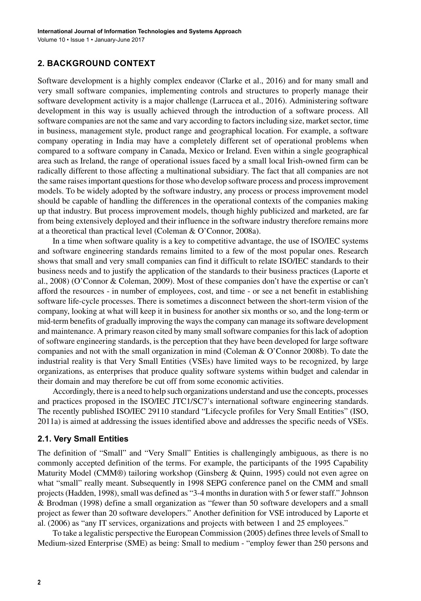### **2. BACKGROUND CONTEXT**

Software development is a highly complex endeavor (Clarke et al., 2016) and for many small and very small software companies, implementing controls and structures to properly manage their software development activity is a major challenge (Larrucea et al., 2016). Administering software development in this way is usually achieved through the introduction of a software process. All software companies are not the same and vary according to factors including size, market sector, time in business, management style, product range and geographical location. For example, a software company operating in India may have a completely different set of operational problems when compared to a software company in Canada, Mexico or Ireland. Even within a single geographical area such as Ireland, the range of operational issues faced by a small local Irish-owned firm can be radically different to those affecting a multinational subsidiary. The fact that all companies are not the same raises important questions for those who develop software process and process improvement models. To be widely adopted by the software industry, any process or process improvement model should be capable of handling the differences in the operational contexts of the companies making up that industry. But process improvement models, though highly publicized and marketed, are far from being extensively deployed and their influence in the software industry therefore remains more at a theoretical than practical level (Coleman & O'Connor, 2008a).

In a time when software quality is a key to competitive advantage, the use of ISO/IEC systems and software engineering standards remains limited to a few of the most popular ones. Research shows that small and very small companies can find it difficult to relate ISO/IEC standards to their business needs and to justify the application of the standards to their business practices (Laporte et al., 2008) (O'Connor & Coleman, 2009). Most of these companies don't have the expertise or can't afford the resources - in number of employees, cost, and time - or see a net benefit in establishing software life-cycle processes. There is sometimes a disconnect between the short-term vision of the company, looking at what will keep it in business for another six months or so, and the long-term or mid-term benefits of gradually improving the ways the company can manage its software development and maintenance. A primary reason cited by many small software companies for this lack of adoption of software engineering standards, is the perception that they have been developed for large software companies and not with the small organization in mind (Coleman & O'Connor 2008b). To date the industrial reality is that Very Small Entities (VSEs) have limited ways to be recognized, by large organizations, as enterprises that produce quality software systems within budget and calendar in their domain and may therefore be cut off from some economic activities.

Accordingly, there is a need to help such organizations understand and use the concepts, processes and practices proposed in the ISO/IEC JTC1/SC7's international software engineering standards. The recently published ISO/IEC 29110 standard "Lifecycle profiles for Very Small Entities" (ISO, 2011a) is aimed at addressing the issues identified above and addresses the specific needs of VSEs.

#### **2.1. Very Small Entities**

The definition of "Small" and "Very Small" Entities is challengingly ambiguous, as there is no commonly accepted definition of the terms. For example, the participants of the 1995 Capability Maturity Model (CMM®) tailoring workshop (Ginsberg & Quinn, 1995) could not even agree on what "small" really meant. Subsequently in 1998 SEPG conference panel on the CMM and small projects (Hadden, 1998), small was defined as "3-4 months in duration with 5 or fewer staff." Johnson & Brodman (1998) define a small organization as "fewer than 50 software developers and a small project as fewer than 20 software developers." Another definition for VSE introduced by Laporte et al. (2006) as "any IT services, organizations and projects with between 1 and 25 employees."

To take a legalistic perspective the European Commission (2005) defines three levels of Small to Medium-sized Enterprise (SME) as being: Small to medium - "employ fewer than 250 persons and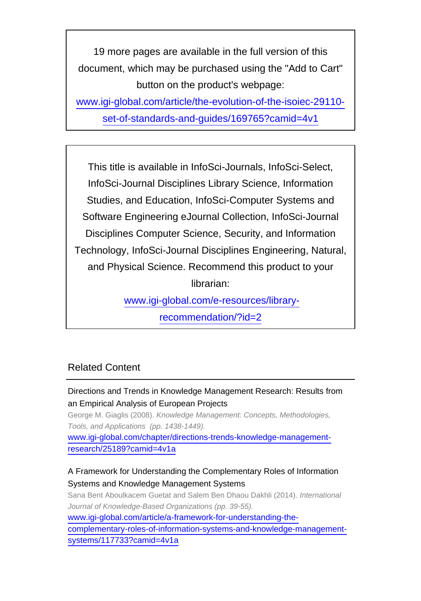19 more pages are available in the full version of this document, which may be purchased using the "Add to Cart" button on the product's webpage:

[www.igi-global.com/article/the-evolution-of-the-isoiec-29110](http://www.igi-global.com/article/the-evolution-of-the-isoiec-29110-set-of-standards-and-guides/169765?camid=4v1) [set-of-standards-and-guides/169765?camid=4v1](http://www.igi-global.com/article/the-evolution-of-the-isoiec-29110-set-of-standards-and-guides/169765?camid=4v1)

This title is available in InfoSci-Journals, InfoSci-Select, InfoSci-Journal Disciplines Library Science, Information Studies, and Education, InfoSci-Computer Systems and Software Engineering eJournal Collection, InfoSci-Journal Disciplines Computer Science, Security, and Information Technology, InfoSci-Journal Disciplines Engineering, Natural, and Physical Science. Recommend this product to your librarian:

[www.igi-global.com/e-resources/library-](http://www.igi-global.com/e-resources/library-recommendation/?id=2)

[recommendation/?id=2](http://www.igi-global.com/e-resources/library-recommendation/?id=2)

# Related Content

Directions and Trends in Knowledge Management Research: Results from an Empirical Analysis of European Projects George M. Giaglis (2008). Knowledge Management: Concepts, Methodologies, Tools, and Applications (pp. 1438-1449). [www.igi-global.com/chapter/directions-trends-knowledge-management](http://www.igi-global.com/chapter/directions-trends-knowledge-management-research/25189?camid=4v1a)[research/25189?camid=4v1a](http://www.igi-global.com/chapter/directions-trends-knowledge-management-research/25189?camid=4v1a)

# A Framework for Understanding the Complementary Roles of Information Systems and Knowledge Management Systems

Sana Bent Aboulkacem Guetat and Salem Ben Dhaou Dakhli (2014). International Journal of Knowledge-Based Organizations (pp. 39-55).

[www.igi-global.com/article/a-framework-for-understanding-the](http://www.igi-global.com/article/a-framework-for-understanding-the-complementary-roles-of-information-systems-and-knowledge-management-systems/117733?camid=4v1a)[complementary-roles-of-information-systems-and-knowledge-management](http://www.igi-global.com/article/a-framework-for-understanding-the-complementary-roles-of-information-systems-and-knowledge-management-systems/117733?camid=4v1a)[systems/117733?camid=4v1a](http://www.igi-global.com/article/a-framework-for-understanding-the-complementary-roles-of-information-systems-and-knowledge-management-systems/117733?camid=4v1a)